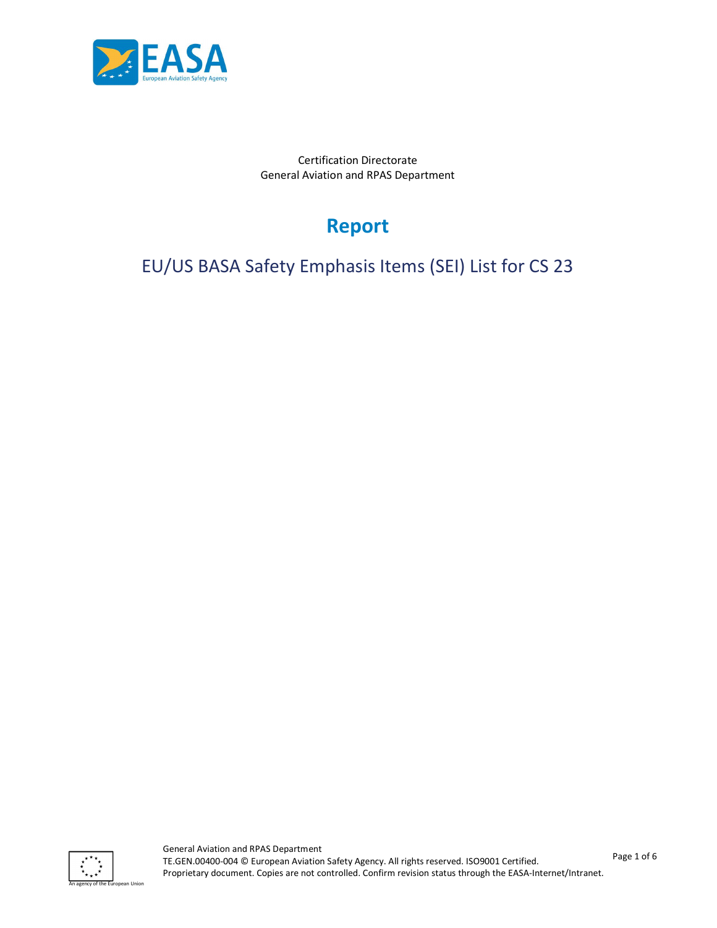

Certification Directorate General Aviation and RPAS Department

# Report

EU/US BASA Safety Emphasis Items (SEI) List for CS 23

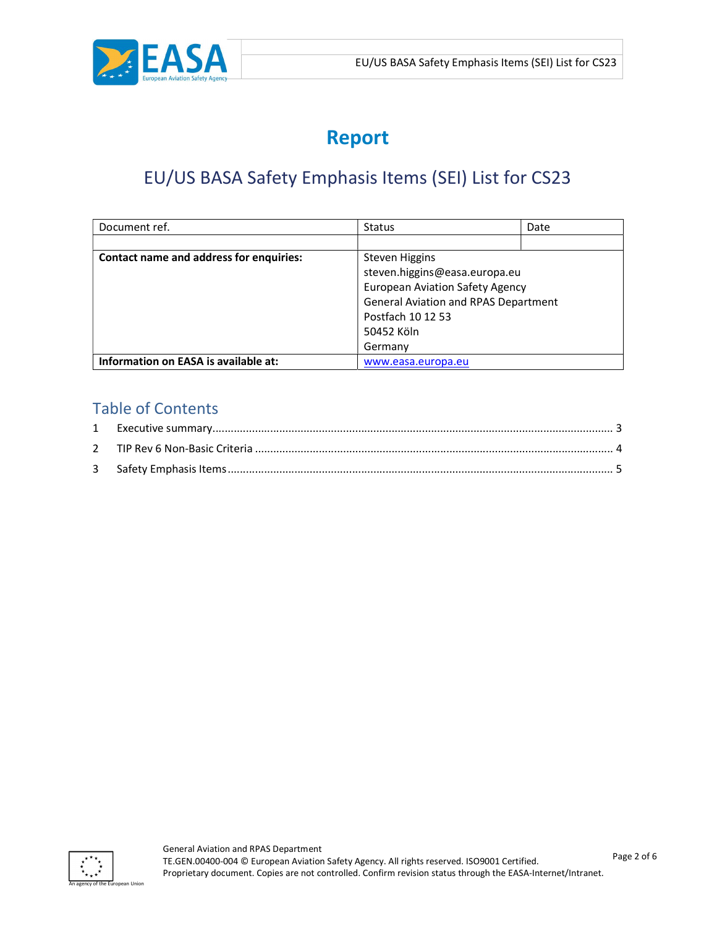

# Report

## EU/US BASA Safety Emphasis Items (SEI) List for CS23

| Document ref.                           | <b>Status</b>                               | Date |
|-----------------------------------------|---------------------------------------------|------|
|                                         |                                             |      |
| Contact name and address for enquiries: | <b>Steven Higgins</b>                       |      |
|                                         | steven.higgins@easa.europa.eu               |      |
|                                         | <b>European Aviation Safety Agency</b>      |      |
|                                         | <b>General Aviation and RPAS Department</b> |      |
|                                         | Postfach 10 12 53                           |      |
|                                         | 50452 Köln                                  |      |
|                                         | Germany                                     |      |
| Information on EASA is available at:    | www.easa.europa.eu                          |      |

## Table of Contents

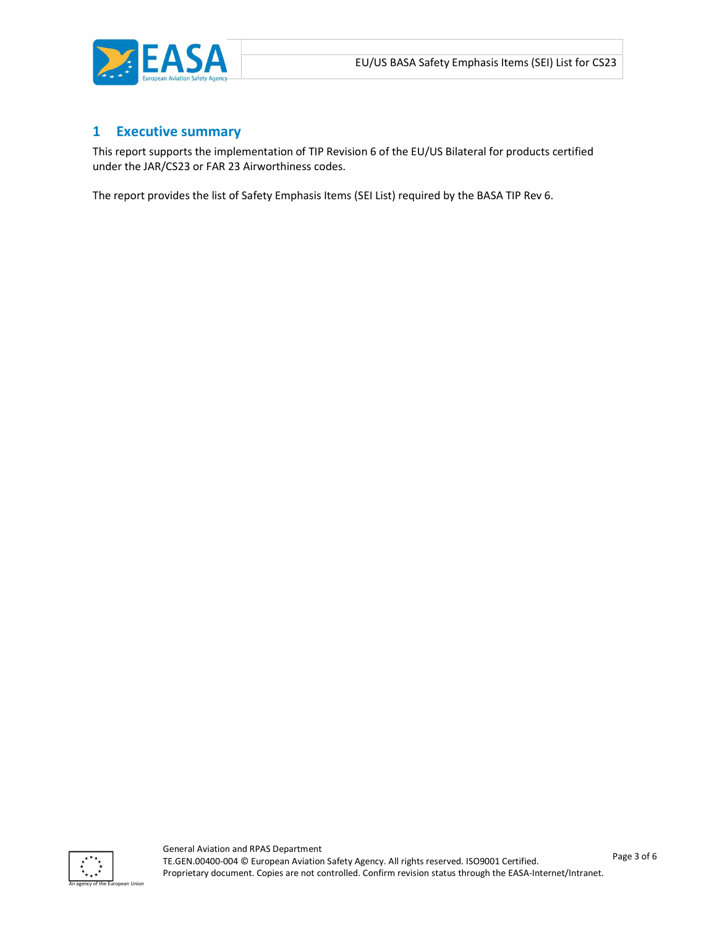

#### 1 Executive summary

This report supports the implementation of TIP Revision 6 of the EU/US Bilateral for products certified under the JAR/CS23 or FAR 23 Airworthiness codes.

The report provides the list of Safety Emphasis Items (SEI List) required by the BASA TIP Rev 6.

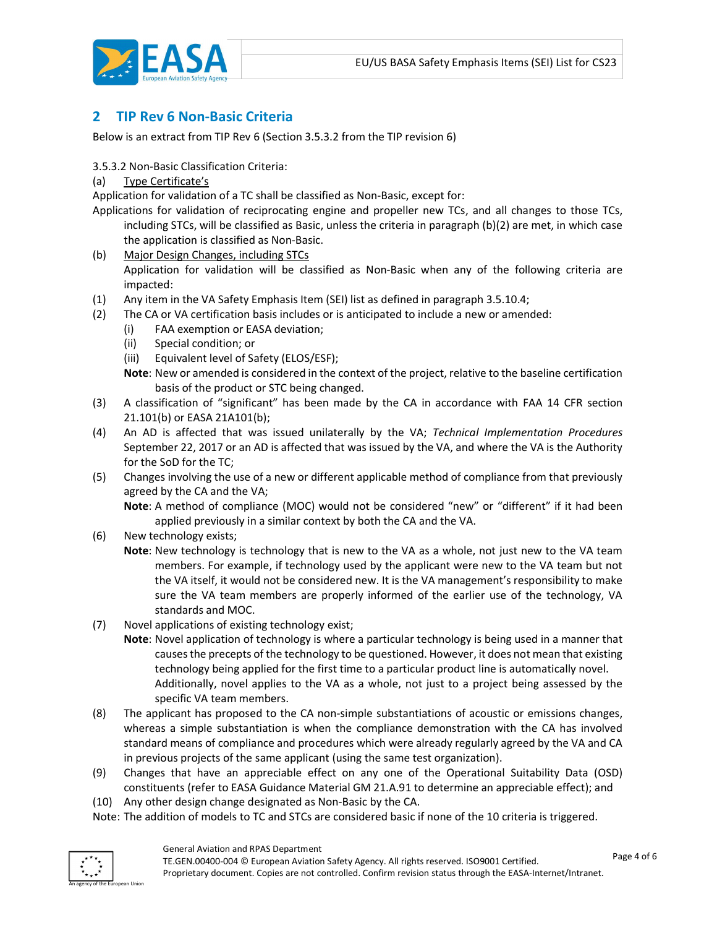

### 2 TIP Rev 6 Non-Basic Criteria

Below is an extract from TIP Rev 6 (Section 3.5.3.2 from the TIP revision 6)

3.5.3.2 Non-Basic Classification Criteria:

(a) Type Certificate's

Application for validation of a TC shall be classified as Non-Basic, except for:

Applications for validation of reciprocating engine and propeller new TCs, and all changes to those TCs, including STCs, will be classified as Basic, unless the criteria in paragraph (b)(2) are met, in which case the application is classified as Non-Basic.

- (b) Major Design Changes, including STCs Application for validation will be classified as Non-Basic when any of the following criteria are impacted:
- (1) Any item in the VA Safety Emphasis Item (SEI) list as defined in paragraph 3.5.10.4;
- (2) The CA or VA certification basis includes or is anticipated to include a new or amended:
	- (i) FAA exemption or EASA deviation;
	- (ii) Special condition; or
	- (iii) Equivalent level of Safety (ELOS/ESF);

Note: New or amended is considered in the context of the project, relative to the baseline certification basis of the product or STC being changed.

- (3) A classification of "significant" has been made by the CA in accordance with FAA 14 CFR section 21.101(b) or EASA 21A101(b);
- (4) An AD is affected that was issued unilaterally by the VA; Technical Implementation Procedures September 22, 2017 or an AD is affected that was issued by the VA, and where the VA is the Authority for the SoD for the TC;
- (5) Changes involving the use of a new or different applicable method of compliance from that previously agreed by the CA and the VA;

Note: A method of compliance (MOC) would not be considered "new" or "different" if it had been applied previously in a similar context by both the CA and the VA.

- (6) New technology exists;
	- Note: New technology is technology that is new to the VA as a whole, not just new to the VA team members. For example, if technology used by the applicant were new to the VA team but not the VA itself, it would not be considered new. It is the VA management's responsibility to make sure the VA team members are properly informed of the earlier use of the technology, VA standards and MOC.
- (7) Novel applications of existing technology exist;
	- Note: Novel application of technology is where a particular technology is being used in a manner that causes the precepts of the technology to be questioned. However, it does not mean that existing technology being applied for the first time to a particular product line is automatically novel. Additionally, novel applies to the VA as a whole, not just to a project being assessed by the specific VA team members.
- (8) The applicant has proposed to the CA non-simple substantiations of acoustic or emissions changes, whereas a simple substantiation is when the compliance demonstration with the CA has involved standard means of compliance and procedures which were already regularly agreed by the VA and CA in previous projects of the same applicant (using the same test organization).
- (9) Changes that have an appreciable effect on any one of the Operational Suitability Data (OSD) constituents (refer to EASA Guidance Material GM 21.A.91 to determine an appreciable effect); and
- (10) Any other design change designated as Non-Basic by the CA.
- Note: The addition of models to TC and STCs are considered basic if none of the 10 criteria is triggered.

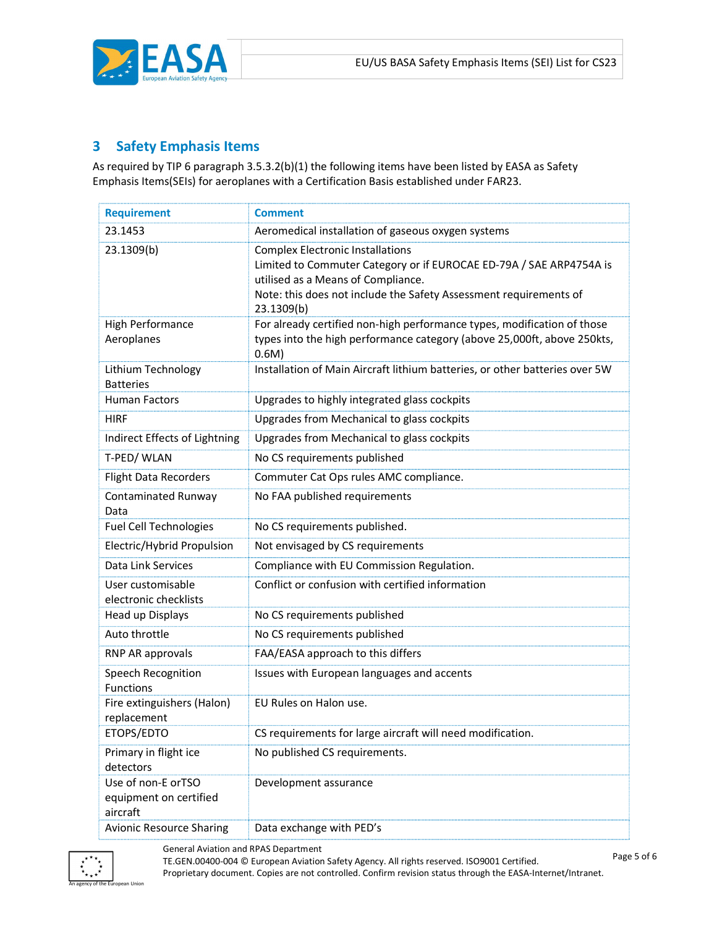

## 3 Safety Emphasis Items

As required by TIP 6 paragraph 3.5.3.2(b)(1) the following items have been listed by EASA as Safety Emphasis Items(SEIs) for aeroplanes with a Certification Basis established under FAR23.

| <b>Requirement</b>                                       | <b>Comment</b>                                                                                                                                                                                                                          |
|----------------------------------------------------------|-----------------------------------------------------------------------------------------------------------------------------------------------------------------------------------------------------------------------------------------|
| 23.1453                                                  | Aeromedical installation of gaseous oxygen systems                                                                                                                                                                                      |
| 23.1309(b)                                               | <b>Complex Electronic Installations</b><br>Limited to Commuter Category or if EUROCAE ED-79A / SAE ARP4754A is<br>utilised as a Means of Compliance.<br>Note: this does not include the Safety Assessment requirements of<br>23.1309(b) |
| <b>High Performance</b><br>Aeroplanes                    | For already certified non-high performance types, modification of those<br>types into the high performance category (above 25,000ft, above 250kts,<br>0.6M)                                                                             |
| Lithium Technology<br><b>Batteries</b>                   | Installation of Main Aircraft lithium batteries, or other batteries over 5W                                                                                                                                                             |
| <b>Human Factors</b>                                     | Upgrades to highly integrated glass cockpits                                                                                                                                                                                            |
| <b>HIRF</b>                                              | Upgrades from Mechanical to glass cockpits                                                                                                                                                                                              |
| Indirect Effects of Lightning                            | Upgrades from Mechanical to glass cockpits                                                                                                                                                                                              |
| T-PED/WLAN                                               | No CS requirements published                                                                                                                                                                                                            |
| <b>Flight Data Recorders</b>                             | Commuter Cat Ops rules AMC compliance.                                                                                                                                                                                                  |
| Contaminated Runway<br>Data                              | No FAA published requirements                                                                                                                                                                                                           |
| <b>Fuel Cell Technologies</b>                            | No CS requirements published.                                                                                                                                                                                                           |
| Electric/Hybrid Propulsion                               | Not envisaged by CS requirements                                                                                                                                                                                                        |
| Data Link Services                                       | Compliance with EU Commission Regulation.                                                                                                                                                                                               |
| User customisable<br>electronic checklists               | Conflict or confusion with certified information                                                                                                                                                                                        |
| Head up Displays                                         | No CS requirements published                                                                                                                                                                                                            |
| Auto throttle                                            | No CS requirements published                                                                                                                                                                                                            |
| RNP AR approvals                                         | FAA/EASA approach to this differs                                                                                                                                                                                                       |
| Speech Recognition<br><b>Functions</b>                   | Issues with European languages and accents                                                                                                                                                                                              |
| Fire extinguishers (Halon)<br>replacement                | EU Rules on Halon use.                                                                                                                                                                                                                  |
| ETOPS/EDTO                                               | CS requirements for large aircraft will need modification.                                                                                                                                                                              |
| Primary in flight ice<br>detectors                       | No published CS requirements.                                                                                                                                                                                                           |
| Use of non-E orTSO<br>equipment on certified<br>aircraft | Development assurance                                                                                                                                                                                                                   |
| <b>Avionic Resource Sharing</b>                          | Data exchange with PED's                                                                                                                                                                                                                |



 General Aviation and RPAS Department TE.GEN.00400-004 © European Aviation Safety Agency. All rights reserved. ISO9001 Certified. Proprietary document. Copies are not controlled. Confirm revision status through the EASA-Internet/Intranet.